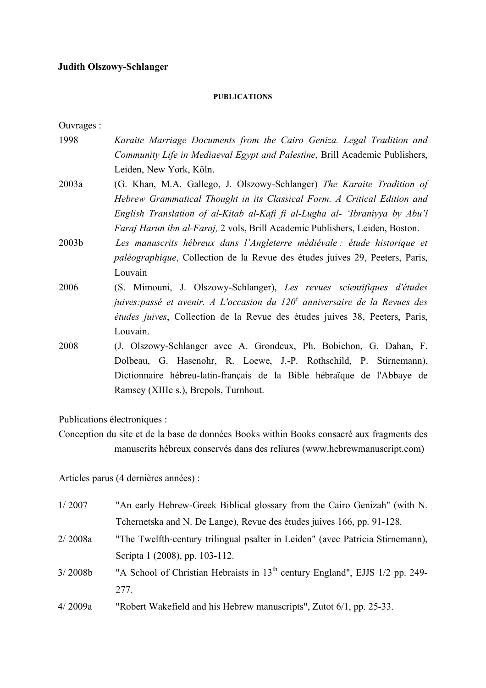## **Judith Olszowy-Schlanger**

## **PUBLICATIONS**

Ouvrages :

- 1998 *Karaite Marriage Documents from the Cairo Geniza. Legal Tradition and Community Life in Mediaeval Egypt and Palestine*, Brill Academic Publishers, Leiden, New York, Köln.
- 2003a (G. Khan, M.A. Gallego, J. Olszowy-Schlanger) *The Karaite Tradition of Hebrew Grammatical Thought in its Classical Form. A Critical Edition and English Translation of al-Kitab al-Kafi fi al-Lugha al- 'Ibraniyya by Abu'l Faraj Harun ibn al-Faraj,* 2 vols, Brill Academic Publishers, Leiden, Boston.
- 2003b *Les manuscrits hébreux dans l'Angleterre médiévale : étude historique et paléographique*, Collection de la Revue des études juives 29, Peeters, Paris, Louvain
- 2006 (S. Mimouni, J. Olszowy-Schlanger), *Les revues scientifiques d'études juives:passé et avenir. A L'occasion du 120e anniversaire de la Revues des études juives*, Collection de la Revue des études juives 38, Peeters, Paris, Louvain.
- 2008 (J. Olszowy-Schlanger avec A. Grondeux, Ph. Bobichon, G. Dahan, F. Dolbeau, G. Hasenohr, R. Loewe, J.-P. Rothschild, P. Stirnemann), Dictionnaire hébreu-latin-français de la Bible hébraïque de l'Abbaye de Ramsey (XIIIe s.), Brepols, Turnhout.

Publications électroniques :

Conception du site et de la base de données Books within Books consacré aux fragments des manuscrits hébreux conservés dans des reliures (www.hebrewmanuscript.com)

Articles parus (4 dernières années) :

| 1/2007  | "An early Hebrew-Greek Biblical glossary from the Cairo Genizah" (with N.                |
|---------|------------------------------------------------------------------------------------------|
|         | Tchernetska and N. De Lange), Revue des études juives 166, pp. 91-128.                   |
| 2/2008a | "The Twelfth-century trilingual psalter in Leiden" (avec Patricia Stirnemann),           |
|         | Scripta 1 (2008), pp. 103-112.                                                           |
| 3/2008b | "A School of Christian Hebraists in 13 <sup>th</sup> century England", EJJS 1/2 pp. 249- |
|         | 277.                                                                                     |
| 4/2009a | "Robert Wakefield and his Hebrew manuscripts", Zutot 6/1, pp. 25-33.                     |